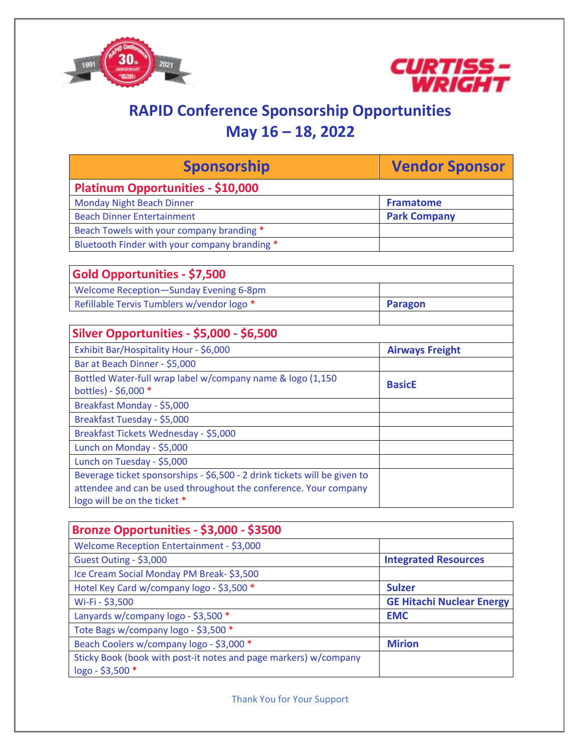



# **RAPID Conference Sponsorship Opportunities May 16 – 18, 2022**

| <b>Sponsorship</b>                                                        | <b>Vendor Sponsor</b>            |
|---------------------------------------------------------------------------|----------------------------------|
| <b>Platinum Opportunities - \$10,000</b>                                  |                                  |
| <b>Monday Night Beach Dinner</b>                                          | <b>Framatome</b>                 |
| <b>Beach Dinner Entertainment</b>                                         | <b>Park Company</b>              |
| Beach Towels with your company branding *                                 |                                  |
| Bluetooth Finder with your company branding *                             |                                  |
|                                                                           |                                  |
| Gold Opportunities - \$7,500                                              |                                  |
| <b>Welcome Reception-Sunday Evening 6-8pm</b>                             |                                  |
| Refillable Tervis Tumblers w/vendor logo *                                | <b>Paragon</b>                   |
|                                                                           |                                  |
| <b>Silver Opportunities - \$5,000 - \$6,500</b>                           |                                  |
| Exhibit Bar/Hospitality Hour - \$6,000                                    | <b>Airways Freight</b>           |
| Bar at Beach Dinner - \$5,000                                             |                                  |
| Bottled Water-full wrap label w/company name & logo (1,150                | <b>BasicE</b>                    |
| bottles) - \$6,000 *                                                      |                                  |
| Breakfast Monday - \$5,000                                                |                                  |
| Breakfast Tuesday - \$5,000                                               |                                  |
| Breakfast Tickets Wednesday - \$5,000                                     |                                  |
| Lunch on Monday - \$5,000                                                 |                                  |
| Lunch on Tuesday - \$5,000                                                |                                  |
| Beverage ticket sponsorships - \$6,500 - 2 drink tickets will be given to |                                  |
| attendee and can be used throughout the conference. Your company          |                                  |
| logo will be on the ticket *                                              |                                  |
|                                                                           |                                  |
| Bronze Opportunities - \$3,000 - \$3500                                   |                                  |
| Welcome Reception Entertainment - \$3,000                                 |                                  |
| Guest Outing - \$3,000                                                    | <b>Integrated Resources</b>      |
| Ice Cream Social Monday PM Break-\$3,500                                  |                                  |
| Hotel Key Card w/company logo - \$3,500 *                                 | <b>Sulzer</b>                    |
| $MizFi - 53.500$                                                          | <b>GF Hitachi Nuclear Energy</b> |

| Wi-Fi - \$3,500                                                  | <b>GE Hitachi Nuclear Energy</b> |
|------------------------------------------------------------------|----------------------------------|
| Lanyards w/company logo - \$3,500 *                              | <b>EMC</b>                       |
| Tote Bags w/company logo - \$3,500 *                             |                                  |
| Beach Coolers w/company logo - \$3,000 *                         | <b>Mirion</b>                    |
| Sticky Book (book with post-it notes and page markers) w/company |                                  |
| $logo - $3,500$ *                                                |                                  |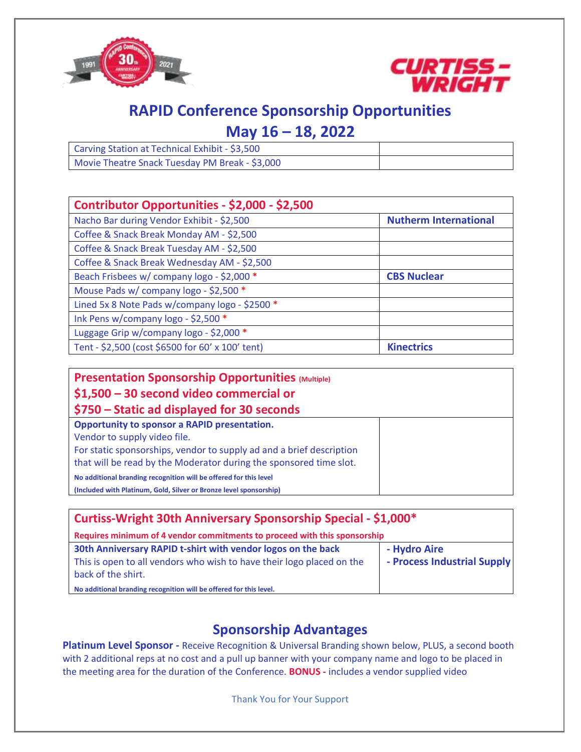



## **RAPID Conference Sponsorship Opportunities**

## **May 16 – 18, 2022**

| Carving Station at Technical Exhibit - \$3,500 |  |
|------------------------------------------------|--|
| Movie Theatre Snack Tuesday PM Break - \$3,000 |  |

| Contributor Opportunities - \$2,000 - \$2,500    |                              |
|--------------------------------------------------|------------------------------|
| Nacho Bar during Vendor Exhibit - \$2,500        | <b>Nutherm International</b> |
| Coffee & Snack Break Monday AM - \$2,500         |                              |
| Coffee & Snack Break Tuesday AM - \$2,500        |                              |
| Coffee & Snack Break Wednesday AM - \$2,500      |                              |
| Beach Frisbees w/ company logo - \$2,000 *       | <b>CBS Nuclear</b>           |
| Mouse Pads w/ company logo - \$2,500 *           |                              |
| Lined 5x 8 Note Pads w/company logo - \$2500 *   |                              |
| Ink Pens w/company logo - \$2,500 *              |                              |
| Luggage Grip w/company logo - \$2,000 *          |                              |
| Tent - \$2,500 (cost \$6500 for 60' x 100' tent) | <b>Kinectrics</b>            |

| <b>Presentation Sponsorship Opportunities (Multiple)</b><br>$$1,500 - 30$ second video commercial or |  |
|------------------------------------------------------------------------------------------------------|--|
| \$750 – Static ad displayed for 30 seconds                                                           |  |
| Opportunity to sponsor a RAPID presentation.                                                         |  |
| Vendor to supply video file.                                                                         |  |
| For static sponsorships, vendor to supply ad and a brief description                                 |  |
| that will be read by the Moderator during the sponsored time slot.                                   |  |
| No additional branding recognition will be offered for this level                                    |  |
| (Included with Platinum, Gold, Silver or Bronze level sponsorship)                                   |  |

| Curtiss-Wright 30th Anniversary Sponsorship Special - \$1,000*                                                                                              |                                             |  |
|-------------------------------------------------------------------------------------------------------------------------------------------------------------|---------------------------------------------|--|
| Requires minimum of 4 vendor commitments to proceed with this sponsorship                                                                                   |                                             |  |
| 30th Anniversary RAPID t-shirt with vendor logos on the back<br>This is open to all vendors who wish to have their logo placed on the<br>back of the shirt. | - Hydro Aire<br>- Process Industrial Supply |  |
| No additional branding recognition will be offered for this level.                                                                                          |                                             |  |

### **Sponsorship Advantages**

**Platinum Level Sponsor -** Receive Recognition & Universal Branding shown below, PLUS, a second booth with 2 additional reps at no cost and a pull up banner with your company name and logo to be placed in the meeting area for the duration of the Conference. **BONUS -** includes a vendor supplied video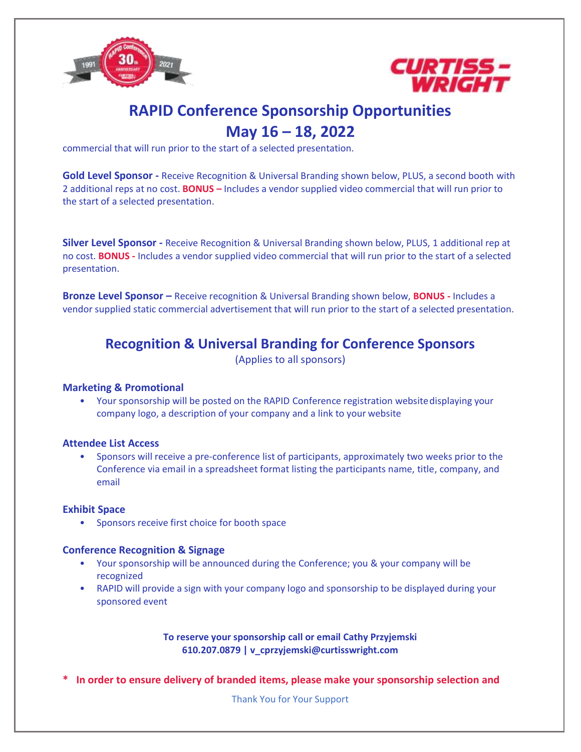



# **RAPID Conference Sponsorship Opportunities May 16 – 18, 2022**

commercial that will run prior to the start of a selected presentation.

**Gold Level Sponsor -** Receive Recognition & Universal Branding shown below, PLUS, a second booth with 2 additional reps at no cost. **BONUS –** Includes a vendor supplied video commercial that will run prior to the start of a selected presentation.

**Silver Level Sponsor -** Receive Recognition & Universal Branding shown below, PLUS, 1 additional rep at no cost. **BONUS -** Includes a vendor supplied video commercial that will run prior to the start of a selected presentation.

**Bronze Level Sponsor –** Receive recognition & Universal Branding shown below, **BONUS -** Includes a vendor supplied static commercial advertisement that will run prior to the start of a selected presentation.

### **Recognition & Universal Branding for Conference Sponsors**

(Applies to all sponsors)

#### **Marketing & Promotional**

• Your sponsorship will be posted on the RAPID Conference registration websitedisplaying your company logo, a description of your company and a link to your website

#### **Attendee List Access**

• Sponsors will receive a pre-conference list of participants, approximately two weeks prior to the Conference via email in a spreadsheet format listing the participants name, title, company, and email

#### **Exhibit Space**

• Sponsors receive first choice for booth space

#### **Conference Recognition & Signage**

- Your sponsorship will be announced during the Conference; you & your company will be recognized
- RAPID will provide a sign with your company logo and sponsorship to be displayed during your sponsored event

**To reserve your sponsorship call or email Cathy Przyjemski 610.207.0879 | v\_cprzyjemski@curtisswright.com**

**\* In order to ensure delivery of branded items, please make your sponsorship selection and**